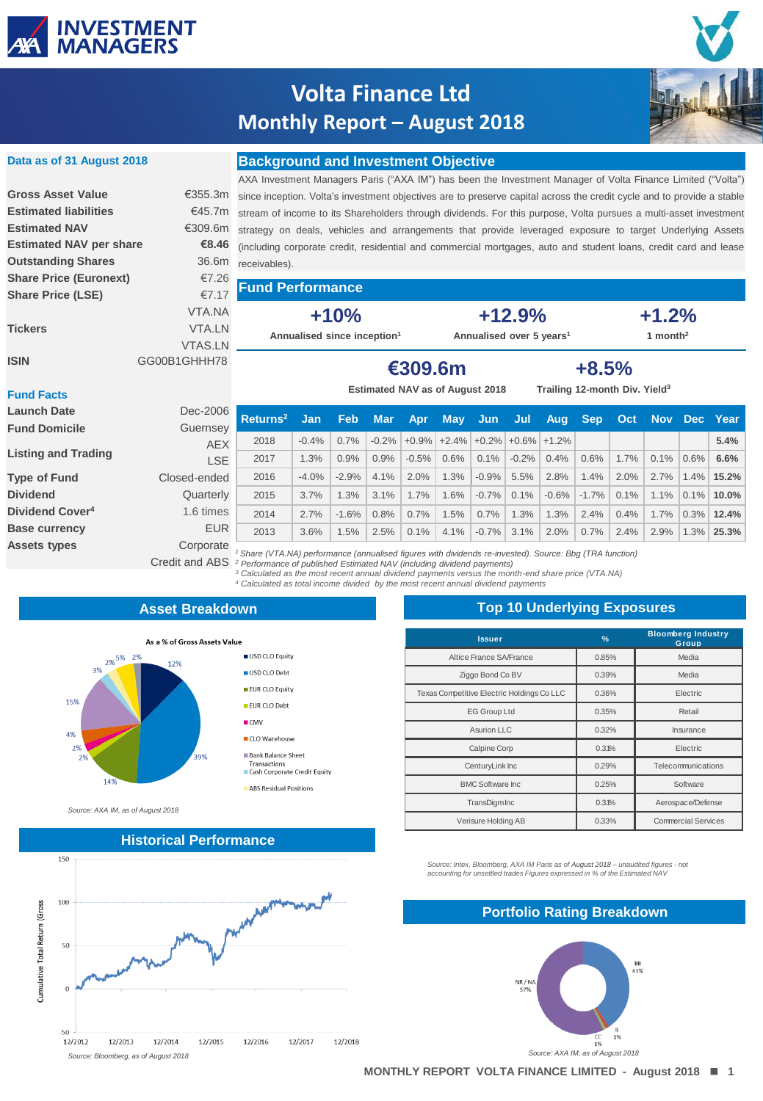

**Data as of 31 August 2018**

# **Volta Finance Ltd Monthly Report – August 2018**



### **Background and Investment Objective**

|                                |                | AXA Investment Managers Paris ("AXA IM") has been the Investment Manager of Volta Finance Limited ("Volta")                    |                                      |  |                                           |  |  |  |  |
|--------------------------------|----------------|--------------------------------------------------------------------------------------------------------------------------------|--------------------------------------|--|-------------------------------------------|--|--|--|--|
| <b>Gross Asset Value</b>       |                | €355.3m since inception. Volta's investment objectives are to preserve capital across the credit cycle and to provide a stable |                                      |  |                                           |  |  |  |  |
| <b>Estimated liabilities</b>   |                | €45.7m stream of income to its Shareholders through dividends. For this purpose, Volta pursues a multi-asset investment        |                                      |  |                                           |  |  |  |  |
| <b>Estimated NAV</b>           |                | €309.6m strategy on deals, vehicles and arrangements that provide leveraged exposure to target Underlying Assets               |                                      |  |                                           |  |  |  |  |
| <b>Estimated NAV per share</b> | €8.46          | (including corporate credit, residential and commercial mortgages, auto and student loans, credit card and lease               |                                      |  |                                           |  |  |  |  |
| <b>Outstanding Shares</b>      |                | 36.6m receivables).                                                                                                            |                                      |  |                                           |  |  |  |  |
| <b>Share Price (Euronext)</b>  | €7.26          |                                                                                                                                |                                      |  |                                           |  |  |  |  |
| <b>Share Price (LSE)</b>       | €7.17          | <b>Fund Performance</b>                                                                                                        |                                      |  |                                           |  |  |  |  |
|                                | VTA.NA         | $+10%$                                                                                                                         | $+12.9%$                             |  | $+1.2%$                                   |  |  |  |  |
| <b>Tickers</b>                 | VTA.LN         | Annualised since inception <sup>1</sup>                                                                                        | Annualised over 5 years <sup>1</sup> |  | 1 month <sup>2</sup>                      |  |  |  |  |
|                                | <b>VTAS.LN</b> |                                                                                                                                |                                      |  |                                           |  |  |  |  |
| <b>ISIN</b><br>GG00B1GHHH78    |                |                                                                                                                                | €309.6m                              |  | $+8.5%$                                   |  |  |  |  |
|                                |                |                                                                                                                                |                                      |  |                                           |  |  |  |  |
| <b>Fund Facts</b>              |                |                                                                                                                                | Estimated NAV as of August 2018      |  | Trailing 12-month Div. Yield <sup>3</sup> |  |  |  |  |

#### **Fund Facts**

| <b>Launch Date</b><br><b>Fund Domicile</b> | Dec-2006<br>Guernsey | l Returns <sup>2</sup>                                                                                                                                                                                                                                                                                                       | Jan     | <b>Feb</b> | <b>Mar</b> | <b>Apr</b>                             | <b>May</b> | -Jun    | Jul     | Aug     | <b>Sep</b> | <b>Oct</b> |      |         | Nov Dec Year  |
|--------------------------------------------|----------------------|------------------------------------------------------------------------------------------------------------------------------------------------------------------------------------------------------------------------------------------------------------------------------------------------------------------------------|---------|------------|------------|----------------------------------------|------------|---------|---------|---------|------------|------------|------|---------|---------------|
|                                            | <b>AEX</b>           | 2018                                                                                                                                                                                                                                                                                                                         | $-0.4%$ | 0.7%       |            | $-0.2\%$ +0.9% +2.4% +0.2% +0.6% +1.2% |            |         |         |         |            |            |      |         | 5.4%          |
| <b>Listing and Trading</b>                 | LSE.                 | 2017                                                                                                                                                                                                                                                                                                                         | 1.3%    | 0.9%       | 0.9%       | $-0.5%$                                | 0.6%       | 0.1%    | $-0.2%$ | 0.4%    | 0.6%       | 1.7%       | 0.1% | $0.6\%$ | 6.6%          |
| <b>Type of Fund</b>                        | Closed-ended         | 2016                                                                                                                                                                                                                                                                                                                         | $-4.0%$ | $-2.9%$    | 4.1%       | 2.0%                                   | 1.3%       | $-0.9%$ | 5.5%    | 2.8%    | 1.4%       | 2.0%       | 2.7% | $1.4\%$ | 15.2%         |
| <b>Dividend</b>                            | Quarterly            | 2015                                                                                                                                                                                                                                                                                                                         | 3.7%    | 1.3%       | 3.1%       | 1.7%                                   | 1.6%       | $-0.7%$ | 0.1%    | $-0.6%$ | $-1.7%$    | 0.1%       | 1.1% |         | $0.1\%$ 10.0% |
| Dividend Cover <sup>4</sup>                | 1.6 times            | 2014                                                                                                                                                                                                                                                                                                                         | 2.7%    | $-1.6%$    | 0.8%       | 0.7%                                   | 1.5%       | 0.7%    | 1.3%    | 1.3%    | 2.4%       | 0.4%       | 1.7% |         | $0.3\%$ 12.4% |
| <b>Base currency</b>                       | <b>EUR</b>           | 2013                                                                                                                                                                                                                                                                                                                         | 3.6%    | .5%        | 2.5%       | 0.1%                                   | 4.1%       | $-0.7%$ | 3.1%    | 2.0%    | 0.7%       | 2.4%       | 2.9% | 1.3%    | 25.3%         |
| <b>Assets types</b>                        | Corporate            | Share (VTA.NA) performance (annualised figures with dividends re-invested). Source: Bbq (TRA function)<br>Credit and ABS <sup>2</sup> Performance of published Estimated NAV (including dividend payments)<br>2. As being a beach as a series and a series that has been a series and as a series and shown water. A FEA MAN |         |            |            |                                        |            |         |         |         |            |            |      |         |               |

*<sup>3</sup> Calculated as the most recent annual dividend payments versus the month-end share price (VTA.NA) <sup>4</sup> Calculated as total income divided by the most recent annual dividend payments* 

#### **Asset Breakdown**

USD CLO Faulty

USD CLO Debt EUR CLO Equity

EUR CLO Debt  $CMV$ 

■ CLO Warehouse

**Bank Balance Sheet** 

ABS Residual Positions

Transactions<br>
Cash Corporate Credit Equity



*Source: AXA IM, as of August 2018*



**Top 10 Underlying Exposures**

| <b>Issuer</b>                              | $\frac{9}{6}$ | <b>Bloomberg Industry</b><br>Group |  |  |  |  |
|--------------------------------------------|---------------|------------------------------------|--|--|--|--|
| Altice France SA/France                    | 0.85%         | Media                              |  |  |  |  |
| Ziggo Bond Co BV                           | 0.39%         | Media                              |  |  |  |  |
| Texas Competitive Electric Holdings Co LLC | 0.36%         | Electric                           |  |  |  |  |
| <b>EG Group Ltd</b>                        | 0.35%         | Retail                             |  |  |  |  |
| Asurion LLC                                | 0.32%         | Insurance                          |  |  |  |  |
| Calpine Corp                               | 0.31%         | Electric                           |  |  |  |  |
| CenturyLink Inc                            | 0.29%         | Telecommunications                 |  |  |  |  |
| <b>BMC Software Inc.</b>                   | 0.25%         | Software                           |  |  |  |  |
| <b>TransDigmInc</b>                        | 0.31%         | Aerospace/Defense                  |  |  |  |  |
| Verisure Holding AB                        | 0.33%         | <b>Commercial Services</b>         |  |  |  |  |

*Source: Intex, Bloomberg, AXA IM Paris as of August 2018 – unaudited figures - not accounting for unsettled trades Figures expressed in % of the Estimated NAV*

### **Portfolio Rating Breakdown**

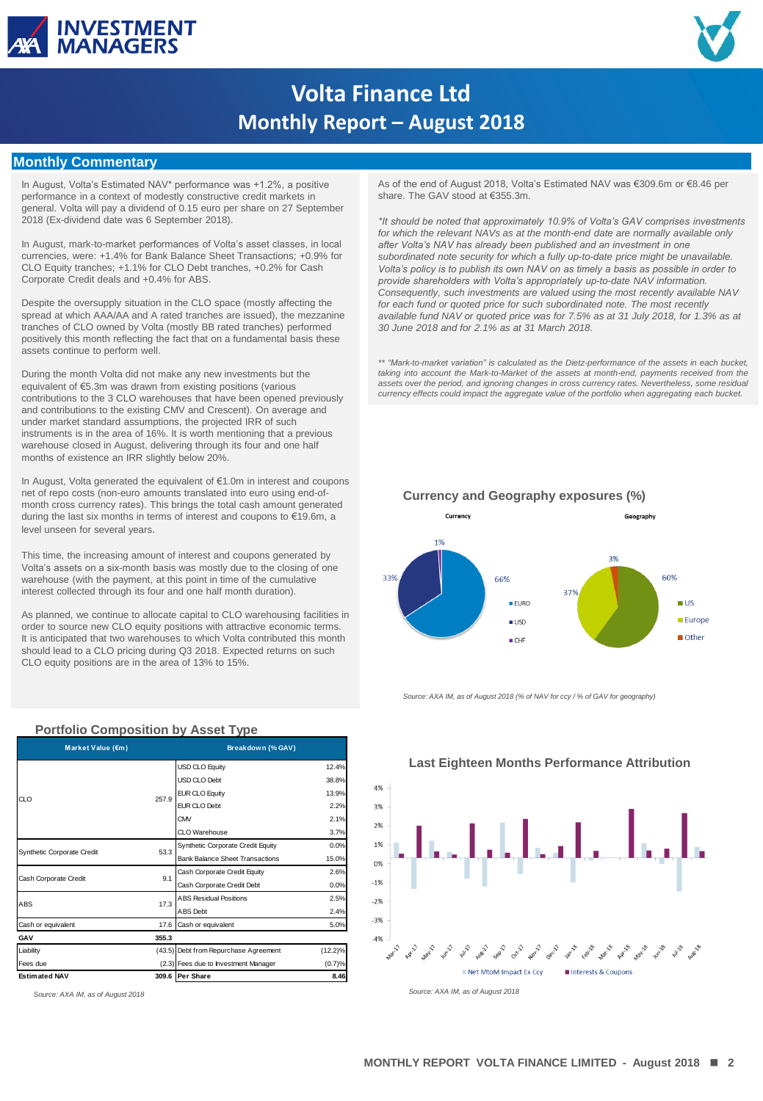



# **Volta Finance Ltd Monthly Report – August 2018**

### **Monthly Commentary**

In August, Volta's Estimated NAV\* performance was +1.2%, a positive performance in a context of modestly constructive credit markets in general. Volta will pay a dividend of 0.15 euro per share on 27 September 2018 (Ex-dividend date was 6 September 2018).

In August, mark-to-market performances of Volta's asset classes, in local currencies, were: +1.4% for Bank Balance Sheet Transactions; +0.9% for CLO Equity tranches; +1.1% for CLO Debt tranches, +0.2% for Cash Corporate Credit deals and +0.4% for ABS.

Despite the oversupply situation in the CLO space (mostly affecting the spread at which AAA/AA and A rated tranches are issued), the mezzanine tranches of CLO owned by Volta (mostly BB rated tranches) performed positively this month reflecting the fact that on a fundamental basis these assets continue to perform well.

During the month Volta did not make any new investments but the equivalent of €5.3m was drawn from existing positions (various contributions to the 3 CLO warehouses that have been opened previously and contributions to the existing CMV and Crescent). On average and under market standard assumptions, the projected IRR of such instruments is in the area of 16%. It is worth mentioning that a previous warehouse closed in August, delivering through its four and one half months of existence an IRR slightly below 20%.

In August, Volta generated the equivalent of €1.0m in interest and coupons net of repo costs (non-euro amounts translated into euro using end-ofmonth cross currency rates). This brings the total cash amount generated during the last six months in terms of interest and coupons to €19.6m, a level unseen for several years.

This time, the increasing amount of interest and coupons generated by Volta's assets on a six-month basis was mostly due to the closing of one warehouse (with the payment, at this point in time of the cumulative interest collected through its four and one half month duration).

As planned, we continue to allocate capital to CLO warehousing facilities in order to source new CLO equity positions with attractive economic terms. It is anticipated that two warehouses to which Volta contributed this month should lead to a CLO pricing during Q3 2018. Expected returns on such CLO equity positions are in the area of 13% to 15%.

**Portfolio Composition by Asset Type** USD CLO Equity 12.4% USD CLO Debt 38.8% EUR CLO Equity 13.9% EUR CLO Debt 2.2%  $CMV$  2.1% CLO Warehouse 3.7% Synthetic Corporate Credit Equity 0.0% Bank Balance Sheet Transactions 15.0% Cash Corporate Credit Equity 2.6% Cash Corporate Credit Debt 0.0% ABS Residual Positions 2.5% ABS Debt 2.4% Cash or equivalent 5.0% **GAV 355.3** Liability (43.5) Debt from Repurchase Agreement (12.2)% Fees due  $(2.3)$  Fees due to Investment Manager  $(0.7)$ <sup>6</sup> **Estimated NAV 309.6 Per Share 8.46 Market Value (€m) Breakdown (% GAV)** CLO 257.9 Synthetic Corporate Credit 53.3 Cash Corporate Credit 9.1 ABS 17.3

As of the end of August 2018, Volta's Estimated NAV was €309.6m or €8.46 per share. The GAV stood at €355.3m.

*\*It should be noted that approximately 10.9% of Volta's GAV comprises investments*  for which the relevant NAVs as at the month-end date are normally available only *after Volta's NAV has already been published and an investment in one subordinated note security for which a fully up-to-date price might be unavailable. Volta's policy is to publish its own NAV on as timely a basis as possible in order to provide shareholders with Volta's appropriately up-to-date NAV information. Consequently, such investments are valued using the most recently available NAV*  for each fund or quoted price for such subordinated note. The most recently *available fund NAV or quoted price was for 7.5% as at 31 July 2018, for 1.3% as at 30 June 2018 and for 2.1% as at 31 March 2018.*

*\*\* "Mark-to-market variation" is calculated as the Dietz-performance of the assets in each bucket, taking into account the Mark-to-Market of the assets at month-end, payments received from the* assets over the period, and ignoring changes in cross currency rates. Nevertheless, some residual<br>currency effects could impact the aggregate value of the portfolio when aggregating each bucket.



*Source: AXA IM, as of August 2018 (% of NAV for ccy / % of GAV for geography)*



**Last Eighteen Months Performance Attribution**